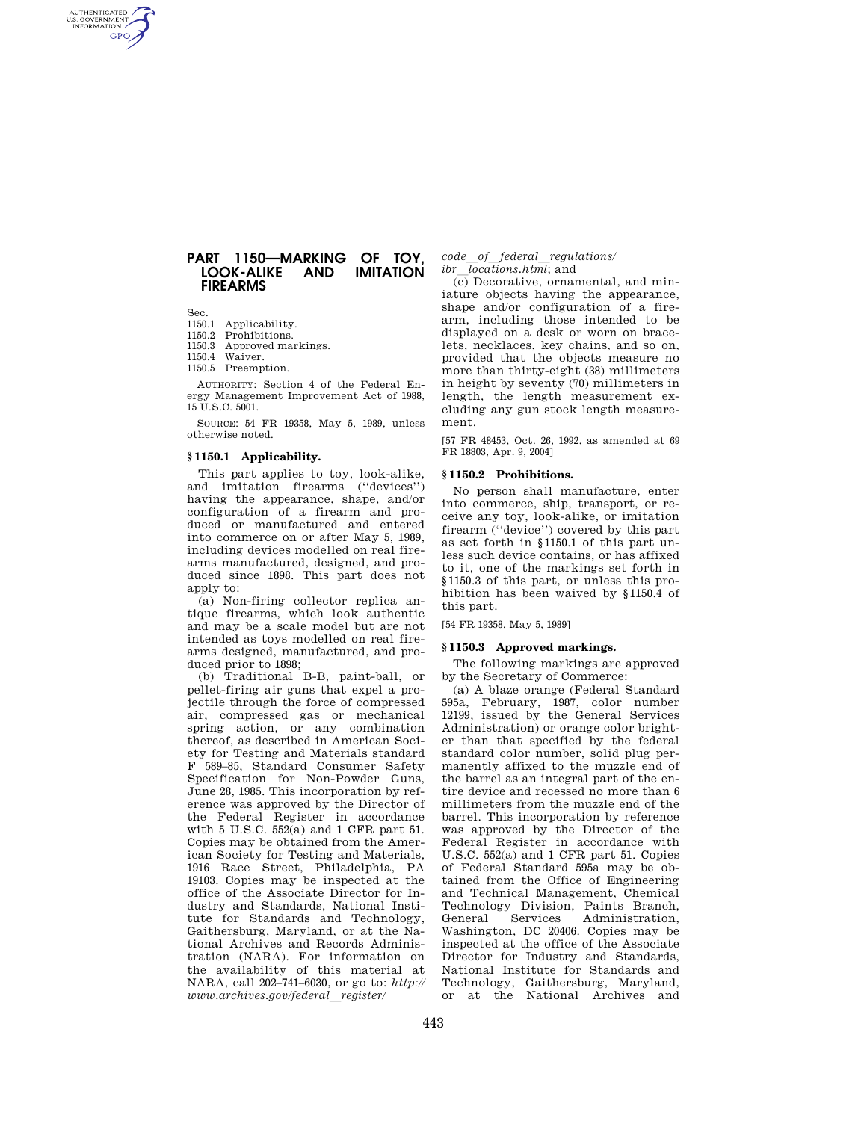# **PART 1150—MARKING OF TOY, LOOK-ALIKE FIREARMS**

Sec.

AUTHENTICATED<br>U.S. GOVERNMENT<br>INFORMATION **GPO** 

- 1150.1 Applicability.
- 1150.2 Prohibitions.
- 1150.3 Approved markings. 1150.4 Waiver.
- 1150.5 Preemption.

AUTHORITY: Section 4 of the Federal Energy Management Improvement Act of 1988, 15 U.S.C. 5001.

SOURCE: 54 FR 19358, May 5, 1989, unless otherwise noted.

## **§ 1150.1 Applicability.**

This part applies to toy, look-alike, and imitation firearms (''devices'') having the appearance, shape, and/or configuration of a firearm and produced or manufactured and entered into commerce on or after May 5, 1989, including devices modelled on real firearms manufactured, designed, and produced since 1898. This part does not annly  $\text{to}$ :

(a) Non-firing collector replica antique firearms, which look authentic and may be a scale model but are not intended as toys modelled on real firearms designed, manufactured, and produced prior to 1898;

(b) Traditional B-B, paint-ball, or pellet-firing air guns that expel a projectile through the force of compressed air, compressed gas or mechanical spring action, or any combination thereof, as described in American Society for Testing and Materials standard F 589–85, Standard Consumer Safety Specification for Non-Powder Guns, June 28, 1985. This incorporation by reference was approved by the Director of the Federal Register in accordance with 5 U.S.C. 552(a) and 1 CFR part 51. Copies may be obtained from the American Society for Testing and Materials, 1916 Race Street, Philadelphia, PA 19103. Copies may be inspected at the office of the Associate Director for Industry and Standards, National Institute for Standards and Technology, Gaithersburg, Maryland, or at the National Archives and Records Administration (NARA). For information on the availability of this material at NARA, call 202–741–6030, or go to: *http:// www.archives.gov/federal*l*register/* 

*code\_of\_federal\_regulations/*<br>*ibr locations.html*: and

*ibr\_locations.html*; and<br>(c) Decorative, ornamental, and miniature objects having the appearance, shape and/or configuration of a firearm, including those intended to be displayed on a desk or worn on bracelets, necklaces, key chains, and so on, provided that the objects measure no more than thirty-eight (38) millimeters in height by seventy (70) millimeters in length, the length measurement excluding any gun stock length measurement.

[57 FR 48453, Oct. 26, 1992, as amended at 69 FR 18803, Apr. 9, 2004]

### **§ 1150.2 Prohibitions.**

No person shall manufacture, enter into commerce, ship, transport, or receive any toy, look-alike, or imitation firearm (''device'') covered by this part as set forth in §1150.1 of this part unless such device contains, or has affixed to it, one of the markings set forth in §1150.3 of this part, or unless this prohibition has been waived by §1150.4 of this part.

[54 FR 19358, May 5, 1989]

## **§ 1150.3 Approved markings.**

The following markings are approved by the Secretary of Commerce:

(a) A blaze orange (Federal Standard 595a, February, 1987, color number 12199, issued by the General Services Administration) or orange color brighter than that specified by the federal standard color number, solid plug permanently affixed to the muzzle end of the barrel as an integral part of the entire device and recessed no more than 6 millimeters from the muzzle end of the barrel. This incorporation by reference was approved by the Director of the Federal Register in accordance with U.S.C. 552(a) and 1 CFR part 51. Copies of Federal Standard 595a may be obtained from the Office of Engineering and Technical Management, Chemical Technology Division, Paints Branch, General Services Administration, Washington, DC 20406. Copies may be inspected at the office of the Associate Director for Industry and Standards, National Institute for Standards and Technology, Gaithersburg, Maryland, or at the National Archives and